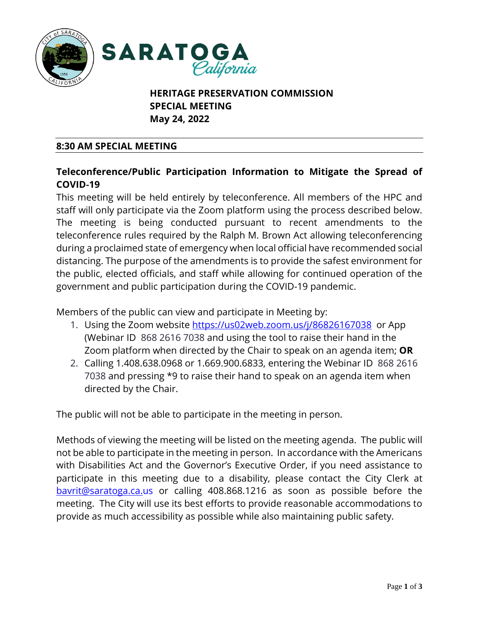



# **HERITAGE PRESERVATION COMMISSION SPECIAL MEETING May 24, 2022**

# **8:30 AM SPECIAL MEETING**

# **Teleconference/Public Participation Information to Mitigate the Spread of COVID**‐**19**

This meeting will be held entirely by teleconference. All members of the HPC and staff will only participate via the Zoom platform using the process described below. The meeting is being conducted pursuant to recent amendments to the teleconference rules required by the Ralph M. Brown Act allowing teleconferencing during a proclaimed state of emergency when local official have recommended social distancing. The purpose of the amendments is to provide the safest environment for the public, elected officials, and staff while allowing for continued operation of the government and public participation during the COVID-19 pandemic.

Members of the public can view and participate in Meeting by:

- 1. Using the Zoom website<https://us02web.zoom.us/j/86826167038> or App (Webinar ID 868 2616 7038 and using the tool to raise their hand in the Zoom platform when directed by the Chair to speak on an agenda item; **OR**
- 2. Calling 1.408.638.0968 or 1.669.900.6833, entering the Webinar ID 868 2616 7038 and pressing \*9 to raise their hand to speak on an agenda item when directed by the Chair.

The public will not be able to participate in the meeting in person.

Methods of viewing the meeting will be listed on the meeting agenda. The public will not be able to participate in the meeting in person. In accordance with the Americans with Disabilities Act and the Governor's Executive Order, if you need assistance to participate in this meeting due to a disability, please contact the City Clerk at [bavrit@saratoga.ca.us](mailto:bavrit@saratoga.ca.us) or calling 408.868.1216 as soon as possible before the meeting. The City will use its best efforts to provide reasonable accommodations to provide as much accessibility as possible while also maintaining public safety.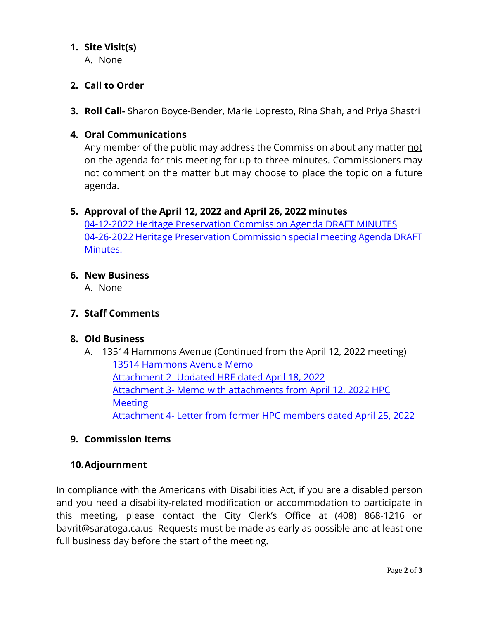# **1. Site Visit(s)**

A. None

# **2. Call to Order**

**3. Roll Call-** Sharon Boyce-Bender, Marie Lopresto, Rina Shah, and Priya Shastri

# **4. Oral Communications**

Any member of the public may address the Commission about any matter not on the agenda for this meeting for up to three minutes. Commissioners may not comment on the matter but may choose to place the topic on a future agenda.

### **5. Approval of the April 12, 2022 and April 26, 2022 minutes**

04-12-2022 Heritage [Preservation Commission Agenda DRAFT MINUTES](https://legistarweb-production.s3.amazonaws.com/uploads/attachment/pdf/1384689/04-12-2022__Heritage_Preservation_Commission_Agenda_DRAFT_MINUTES.pdf) 04-26-2022 [Heritage Preservation Commission special](https://legistarweb-production.s3.amazonaws.com/uploads/attachment/pdf/1384690/04-26-2022__Heritage_Preservation_Commission_SPECIAL_Agenda_meeting_DRAFT_Minutes.pdf) meeting Agenda DRAFT [Minutes.](https://legistarweb-production.s3.amazonaws.com/uploads/attachment/pdf/1384690/04-26-2022__Heritage_Preservation_Commission_SPECIAL_Agenda_meeting_DRAFT_Minutes.pdf)

#### **6. New Business**

A. None

### **7. Staff Comments**

### **8. Old Business**

A. 13514 Hammons Avenue (Continued from the April 12, 2022 meeting) [13514 Hammons Avenue Memo](https://legistarweb-production.s3.amazonaws.com/uploads/attachment/pdf/1384686/13514_Hammons_Avenue_HPC_Memo_05242022__CR__DP_.pdf) Attachment 2- [Updated HRE dated April 18, 2022](https://legistarweb-production.s3.amazonaws.com/uploads/attachment/pdf/1383981/Attachment_2-_Updated_HRE_13514_Hammons_Avenue_Saratoga.pdf) Attachment 3- [Memo with attachments from April 12, 2022 HPC](https://legistarweb-production.s3.amazonaws.com/uploads/attachment/pdf/1383980/Attachment_3-_Memo_with_attachments_from_April_12__2022_HPC_Meeting.pdf)  **[Meeting](https://legistarweb-production.s3.amazonaws.com/uploads/attachment/pdf/1383980/Attachment_3-_Memo_with_attachments_from_April_12__2022_HPC_Meeting.pdf)** Attachment 4- [Letter from former HPC members dated April 25, 2022](https://legistarweb-production.s3.amazonaws.com/uploads/attachment/pdf/1383979/Attachment_4-Letter_to_Council_HPC__Staff_re_Hammons.pdf)

### **9. Commission Items**

#### **10.Adjournment**

In compliance with the Americans with Disabilities Act, if you are a disabled person and you need a disability-related modification or accommodation to participate in this meeting, please contact the City Clerk's Office at (408) 868-1216 or [bavrit@saratoga.ca.us](mailto:bavrit@saratoga.ca.us) Requests must be made as early as possible and at least one full business day before the start of the meeting.